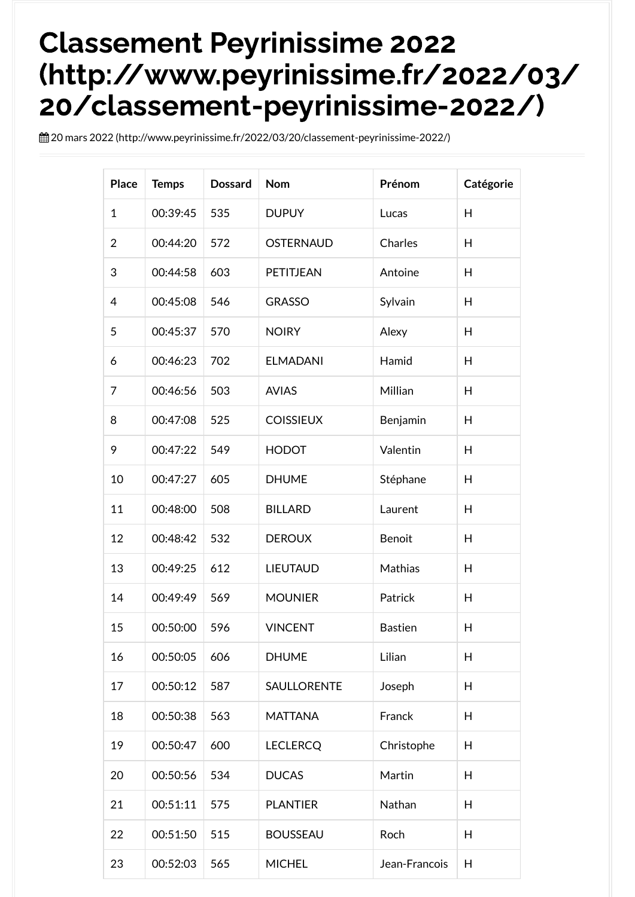## Classement Peyrinissime 2022 [\(http://www.peyrinissime.fr/2022/03/](http://www.peyrinissime.fr/2022/03/20/classement-peyrinissime-2022/) 20/classement-peyrinissime-2022/)

mars 2022 [\(http://www.peyrinissime.fr/2022/03/20/classement-peyrinissime-2022/\)](http://www.peyrinissime.fr/2022/03/20/classement-peyrinissime-2022/)

| <b>Place</b>   | <b>Temps</b> | <b>Dossard</b> | <b>Nom</b>       | Prénom         | Catégorie |
|----------------|--------------|----------------|------------------|----------------|-----------|
| 1              | 00:39:45     | 535            | <b>DUPUY</b>     | Lucas          | H         |
| $\overline{2}$ | 00:44:20     | 572            | <b>OSTERNAUD</b> | Charles        | H         |
| 3              | 00:44:58     | 603            | PETITJEAN        | Antoine        | H         |
| 4              | 00:45:08     | 546            | <b>GRASSO</b>    | Sylvain        | H         |
| 5              | 00:45:37     | 570            | <b>NOIRY</b>     | Alexy          | H         |
| 6              | 00:46:23     | 702            | <b>ELMADANI</b>  | Hamid          | H         |
| 7              | 00:46:56     | 503            | <b>AVIAS</b>     | Millian        | H         |
| 8              | 00:47:08     | 525            | <b>COISSIEUX</b> | Benjamin       | H         |
| 9              | 00:47:22     | 549            | <b>HODOT</b>     | Valentin       | H         |
| 10             | 00:47:27     | 605            | <b>DHUME</b>     | Stéphane       | H         |
| 11             | 00:48:00     | 508            | <b>BILLARD</b>   | Laurent        | H         |
| 12             | 00:48:42     | 532            | <b>DEROUX</b>    | Benoit         | H         |
| 13             | 00:49:25     | 612            | <b>LIEUTAUD</b>  | Mathias        | H         |
| 14             | 00:49:49     | 569            | <b>MOUNIER</b>   | Patrick        | H         |
| 15             | 00:50:00     | 596            | <b>VINCENT</b>   | <b>Bastien</b> | Н         |
| 16             | 00:50:05     | 606            | <b>DHUME</b>     | Lilian         | H         |
| 17             | 00:50:12     | 587            | SAULLORENTE      | Joseph         | H         |
| 18             | 00:50:38     | 563            | <b>MATTANA</b>   | Franck         | H         |
| 19             | 00:50:47     | 600            | <b>LECLERCQ</b>  | Christophe     | H         |
| 20             | 00:50:56     | 534            | <b>DUCAS</b>     | Martin         | H         |
| 21             | 00:51:11     | 575            | <b>PLANTIER</b>  | Nathan         | H         |
| 22             | 00:51:50     | 515            | <b>BOUSSEAU</b>  | Roch           | H         |
| 23             | 00:52:03     | 565            | <b>MICHEL</b>    | Jean-Francois  | H         |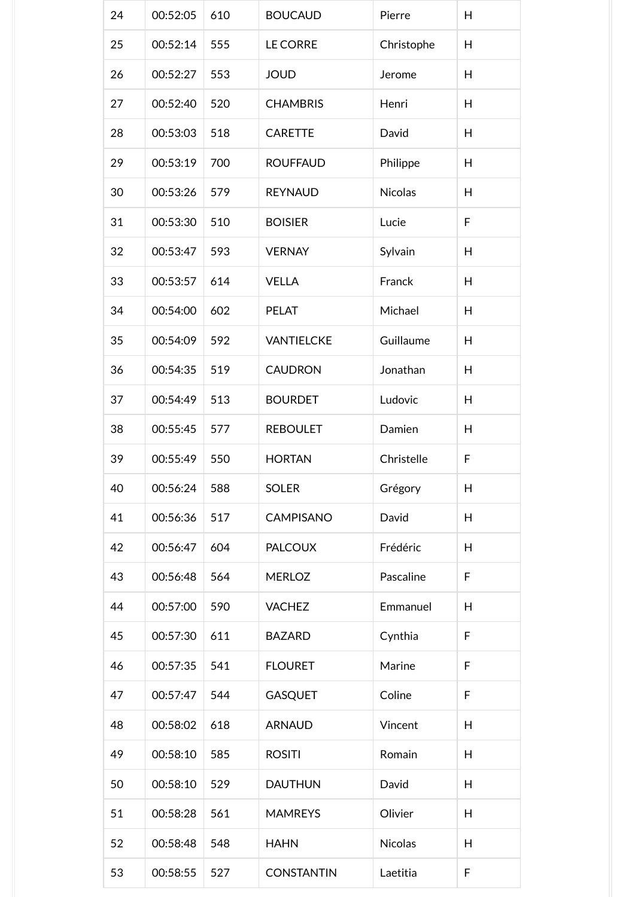| 24 | 00:52:05 | 610 | <b>BOUCAUD</b>    | Pierre     | H |
|----|----------|-----|-------------------|------------|---|
| 25 | 00:52:14 | 555 | <b>LE CORRE</b>   | Christophe | H |
| 26 | 00:52:27 | 553 | <b>JOUD</b>       | Jerome     | H |
| 27 | 00:52:40 | 520 | <b>CHAMBRIS</b>   | Henri      | H |
| 28 | 00:53:03 | 518 | <b>CARETTE</b>    | David      | H |
| 29 | 00:53:19 | 700 | <b>ROUFFAUD</b>   | Philippe   | H |
| 30 | 00:53:26 | 579 | <b>REYNAUD</b>    | Nicolas    | H |
| 31 | 00:53:30 | 510 | <b>BOISIER</b>    | Lucie      | F |
| 32 | 00:53:47 | 593 | <b>VERNAY</b>     | Sylvain    | H |
| 33 | 00:53:57 | 614 | <b>VELLA</b>      | Franck     | H |
| 34 | 00:54:00 | 602 | <b>PELAT</b>      | Michael    | H |
| 35 | 00:54:09 | 592 | <b>VANTIELCKE</b> | Guillaume  | H |
| 36 | 00:54:35 | 519 | <b>CAUDRON</b>    | Jonathan   | H |
| 37 | 00:54:49 | 513 | <b>BOURDET</b>    | Ludovic    | H |
| 38 | 00:55:45 | 577 | <b>REBOULET</b>   | Damien     | H |
| 39 | 00:55:49 | 550 | <b>HORTAN</b>     | Christelle | F |
| 40 | 00:56:24 | 588 | <b>SOLER</b>      | Grégory    | H |
| 41 | 00:56:36 | 517 | <b>CAMPISANO</b>  | David      | H |
| 42 | 00:56:47 | 604 | <b>PALCOUX</b>    | Frédéric   | H |
| 43 | 00:56:48 | 564 | <b>MERLOZ</b>     | Pascaline  | F |
| 44 | 00:57:00 | 590 | <b>VACHEZ</b>     | Emmanuel   | H |
| 45 | 00:57:30 | 611 | <b>BAZARD</b>     | Cynthia    | F |
| 46 | 00:57:35 | 541 | <b>FLOURET</b>    | Marine     | F |
| 47 | 00:57:47 | 544 | <b>GASQUET</b>    | Coline     | F |
| 48 | 00:58:02 | 618 | <b>ARNAUD</b>     | Vincent    | H |
| 49 | 00:58:10 | 585 | <b>ROSITI</b>     | Romain     | H |
| 50 | 00:58:10 | 529 | <b>DAUTHUN</b>    | David      | H |
| 51 | 00:58:28 | 561 | <b>MAMREYS</b>    | Olivier    | H |
| 52 | 00:58:48 | 548 | <b>HAHN</b>       | Nicolas    | H |
| 53 | 00:58:55 | 527 | <b>CONSTANTIN</b> | Laetitia   | F |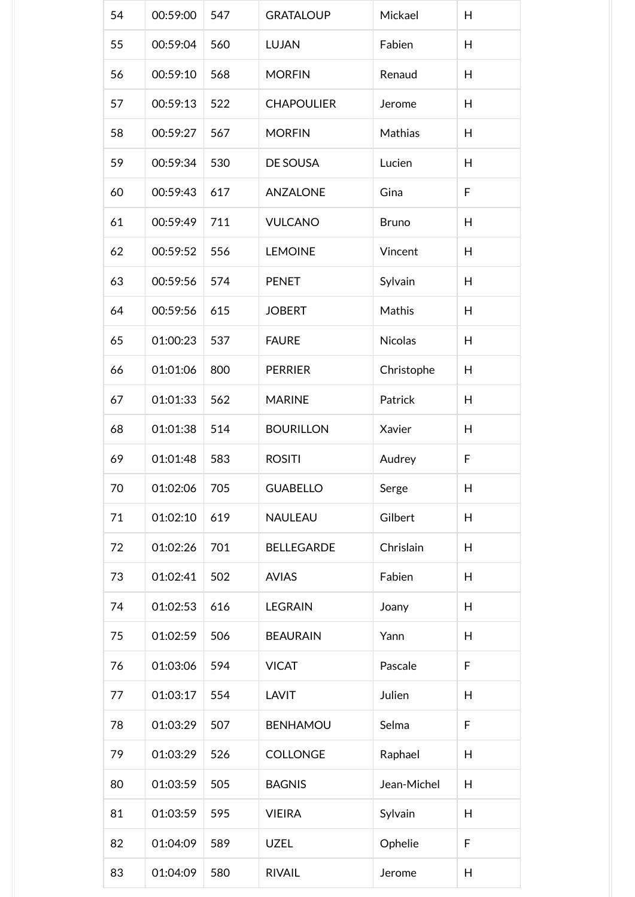| 54 | 00:59:00 | 547 | <b>GRATALOUP</b>  | Mickael      | H |
|----|----------|-----|-------------------|--------------|---|
| 55 | 00:59:04 | 560 | <b>LUJAN</b>      | Fabien       | H |
| 56 | 00:59:10 | 568 | <b>MORFIN</b>     | Renaud       | H |
| 57 | 00:59:13 | 522 | <b>CHAPOULIER</b> | Jerome       | H |
| 58 | 00:59:27 | 567 | <b>MORFIN</b>     | Mathias      | H |
| 59 | 00:59:34 | 530 | DE SOUSA          | Lucien       | H |
| 60 | 00:59:43 | 617 | <b>ANZALONE</b>   | Gina         | F |
| 61 | 00:59:49 | 711 | <b>VULCANO</b>    | <b>Bruno</b> | H |
| 62 | 00:59:52 | 556 | <b>LEMOINE</b>    | Vincent      | H |
| 63 | 00:59:56 | 574 | <b>PENET</b>      | Sylvain      | H |
| 64 | 00:59:56 | 615 | <b>JOBERT</b>     | Mathis       | H |
| 65 | 01:00:23 | 537 | <b>FAURE</b>      | Nicolas      | H |
| 66 | 01:01:06 | 800 | <b>PERRIER</b>    | Christophe   | H |
| 67 | 01:01:33 | 562 | <b>MARINE</b>     | Patrick      | H |
| 68 | 01:01:38 | 514 | <b>BOURILLON</b>  | Xavier       | H |
| 69 | 01:01:48 | 583 | <b>ROSITI</b>     | Audrey       | F |
| 70 | 01:02:06 | 705 | <b>GUABELLO</b>   | Serge        | H |
| 71 | 01:02:10 | 619 | NAULEAU           | Gilbert      | H |
| 72 | 01:02:26 | 701 | <b>BELLEGARDE</b> | Chrislain    | H |
| 73 | 01:02:41 | 502 | <b>AVIAS</b>      | Fabien       | H |
| 74 | 01:02:53 | 616 | <b>LEGRAIN</b>    | Joany        | H |
| 75 | 01:02:59 | 506 | <b>BEAURAIN</b>   | Yann         | H |
| 76 | 01:03:06 | 594 | <b>VICAT</b>      | Pascale      | F |
| 77 | 01:03:17 | 554 | <b>LAVIT</b>      | Julien       | H |
| 78 | 01:03:29 | 507 | <b>BENHAMOU</b>   | Selma        | F |
| 79 | 01:03:29 | 526 | <b>COLLONGE</b>   | Raphael      | H |
| 80 | 01:03:59 | 505 | <b>BAGNIS</b>     | Jean-Michel  | H |
| 81 | 01:03:59 | 595 | <b>VIEIRA</b>     | Sylvain      | H |
| 82 | 01:04:09 | 589 | <b>UZEL</b>       | Ophelie      | F |
| 83 | 01:04:09 | 580 | <b>RIVAIL</b>     | Jerome       | H |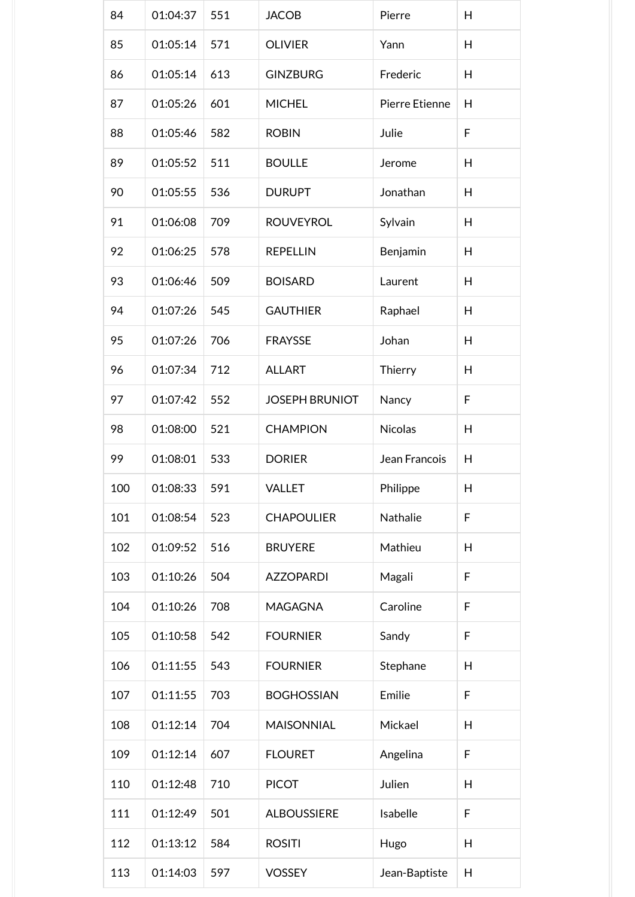| 84  | 01:04:37 | 551 | <b>JACOB</b>          | Pierre         | H |
|-----|----------|-----|-----------------------|----------------|---|
| 85  | 01:05:14 | 571 | <b>OLIVIER</b>        | Yann           | H |
| 86  | 01:05:14 | 613 | <b>GINZBURG</b>       | Frederic       | H |
| 87  | 01:05:26 | 601 | <b>MICHEL</b>         | Pierre Etienne | H |
| 88  | 01:05:46 | 582 | <b>ROBIN</b>          | Julie          | F |
| 89  | 01:05:52 | 511 | <b>BOULLE</b>         | Jerome         | H |
| 90  | 01:05:55 | 536 | <b>DURUPT</b>         | Jonathan       | H |
| 91  | 01:06:08 | 709 | <b>ROUVEYROL</b>      | Sylvain        | H |
| 92  | 01:06:25 | 578 | <b>REPELLIN</b>       | Benjamin       | H |
| 93  | 01:06:46 | 509 | <b>BOISARD</b>        | Laurent        | H |
| 94  | 01:07:26 | 545 | <b>GAUTHIER</b>       | Raphael        | H |
| 95  | 01:07:26 | 706 | <b>FRAYSSE</b>        | Johan          | H |
| 96  | 01:07:34 | 712 | <b>ALLART</b>         | Thierry        | H |
| 97  | 01:07:42 | 552 | <b>JOSEPH BRUNIOT</b> | Nancy          | F |
| 98  | 01:08:00 | 521 | <b>CHAMPION</b>       | <b>Nicolas</b> | H |
| 99  | 01:08:01 | 533 | <b>DORIER</b>         | Jean Francois  | H |
| 100 | 01:08:33 | 591 | <b>VALLET</b>         | Philippe       | H |
| 101 | 01:08:54 | 523 | <b>CHAPOULIER</b>     | Nathalie       | F |
| 102 | 01:09:52 | 516 | <b>BRUYERE</b>        | Mathieu        | H |
| 103 | 01:10:26 | 504 | <b>AZZOPARDI</b>      | Magali         | F |
| 104 | 01:10:26 | 708 | <b>MAGAGNA</b>        | Caroline       | F |
| 105 | 01:10:58 | 542 | <b>FOURNIER</b>       | Sandy          | F |
| 106 | 01:11:55 | 543 | <b>FOURNIER</b>       | Stephane       | H |
| 107 | 01:11:55 | 703 | <b>BOGHOSSIAN</b>     | Emilie         | F |
| 108 |          |     |                       | Mickael        | H |
|     | 01:12:14 | 704 | <b>MAISONNIAL</b>     |                |   |
| 109 | 01:12:14 | 607 | <b>FLOURET</b>        | Angelina       | F |
| 110 | 01:12:48 | 710 | <b>PICOT</b>          | Julien         | H |
| 111 | 01:12:49 | 501 | <b>ALBOUSSIERE</b>    | Isabelle       | F |
| 112 | 01:13:12 | 584 | <b>ROSITI</b>         | Hugo           | H |